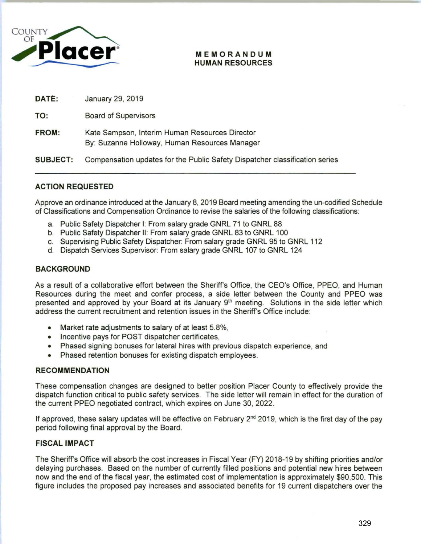

#### **MEMORANDUM HUMAN RESOURCES**

| DATE:           | January 29, 2019                                                                                |
|-----------------|-------------------------------------------------------------------------------------------------|
| TO:             | <b>Board of Supervisors</b>                                                                     |
| FROM:           | Kate Sampson, Interim Human Resources Director<br>By: Suzanne Holloway, Human Resources Manager |
| <b>SUBJECT:</b> | Compensation updates for the Public Safety Dispatcher classification series                     |

## **ACTION REQUESTED**

Approve an ordinance introduced at the January 8, 2019 Board meeting amending the un-codified Schedule of Classifications and Compensation Ordinance to revise the salaries of the following classifications:

- a. Public Safety Dispatcher 1: From salary grade GNRL 71 to GNRL 88
- b. Public Safety Dispatcher II: From salary grade GNRL 83 to GNRL 100
- c. Supervising Public Safety Dispatcher: From salary grade GNRL 95 to GNRL 112
- d. Dispatch Services Supervisor: From salary grade GNRL 107 to GNRL 124

## **BACKGROUND**

As a result of a collaborative effort between the Sheriff's Office, the CEO's Office, PPEO, and Human Resources during the meet and confer process, a side letter between the County and PPEO was presented and approved by your Board at its January 9<sup>th</sup> meeting. Solutions in the side letter which address the current recruitment and retention issues in the Sheriff's Office include:

- Market rate adjustments to salary of at least 5.8%,
- Incentive pays for POST dispatcher certificates,
- Phased signing bonuses for lateral hires with previous dispatch experience, and
- Phased retention bonuses for existing dispatch employees.

#### **RECOMMENDATION**

These compensation changes are designed to better position Placer County to effectively provide the dispatch function critical to public safety services. The side letter will remain in effect for the duration of the current PPEO negotiated contract, which expires on June 30, 2022.

If approved, these salary updates will be effective on February 2<sup>nd</sup> 2019, which is the first day of the pay period following final approval by the Board.

### **FISCAL IMPACT**

The Sheriff's Office will absorb the cost increases in Fiscal Year (FY) 2018-19 by shifting priorities and/or delaying purchases. Based on the number of currently filled positions and potential new hires between now and the end of the fiscal year, the estimated cost of implementation is approximately \$90,500. This figure includes the proposed pay increases and associated benefits for 19 current dispatchers over the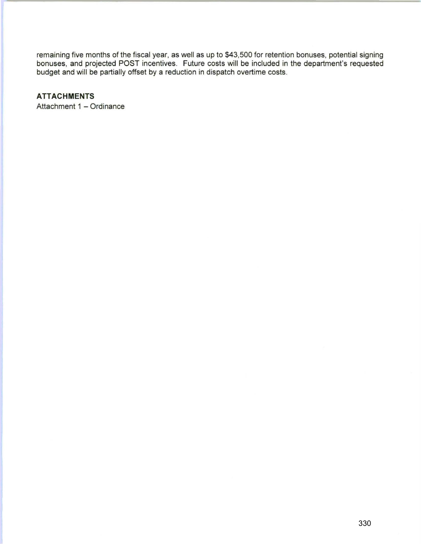remaining five months of the fiscal year, as well as up to \$43,500 for retention bonuses, potential signing bonuses, and projected POST incentives. Future costs will be included in the department's requested budget and will be partially offset by a reduction in dispatch overtime costs.

# **ATTACHMENTS**

Attachment 1 - Ordinance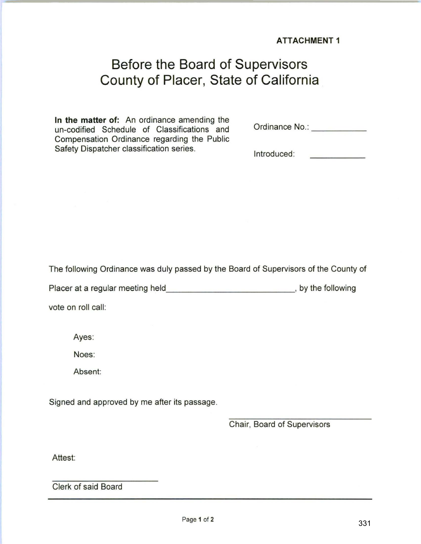**ATTACHMENT 1** 

# **Before the Board of Supervisors County of Placer, State of California**

**In the matter** of: An ordinance amending the un-codified Schedule of Classifications and Compensation Ordinance regarding the Public Safety Dispatcher classification series.

Ordinance No.:

Introduced: وأرباط والمتعاقصية

The following Ordinance was duly passed by the Board of Supervisors of the County of

Placer at a regular meeting held \_\_\_\_\_\_\_\_\_\_\_\_\_\_\_\_\_\_\_\_\_\_\_\_\_\_\_\_\_, by the following

vote on roll call:

Ayes:

Noes:

Absent:

Signed and approved by me after its passage.

Chair, Board of Supervisors

Attest:

Clerk of said Board